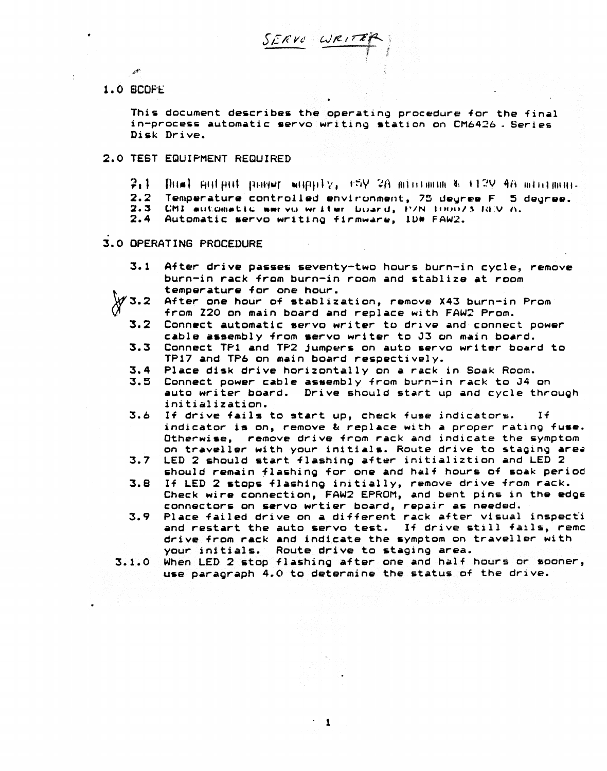1.0 SCOFE

This document describes the operating procedure for the final in-process automatic servo writing station on CM6426. Series Disk Drive.

#### 2.0 TEST EQUIPMENT REQUIRED

- $3.1$  $Dum$  putput pager wuppiy, rSV 2A minimum & 112V 4A minimum.
- Temperature controlled environment, 75 degree F 5 degree.  $2.2$
- CMI automatic wervo writer board, P/N 100073-REV A. 2.3
- $2.4$ Automatic servo writing firmware, ID# FAW2.

### 3.0 OPERATING PROCEDURE

- $3.1$ After drive passes seventy-two hours burn-in cycle, remove burn-in rack from burn-in room and stablize at room temperature for one hour.
- After one hour of stablization, remove X43 burn-in Prom  $\mathcal Y$  3.2 from Z20 on main board and replace with FAW2 Prom.
	- $3.2$ Connect automatic servo writer to drive and connect power cable assembly from servo writer to J3 on main board.
	- $3.3$ Connect TP1 and TP2 jumpers on auto servo writer board to TP17 and TP6 on main board respectively.
	- Place disk drive horizontally on a rack in Soak Room.  $3.4$
	- 3.5 Connect power cable assembly from burn-in rack to J4 on auto writer board. Drive should start up and cycle through initialization.
	- 3.6 If drive fails to start up, check fuse indicators.  $I<sub>f</sub>$ indicator is on, remove & replace with a proper rating fuse. Otherwise, remove drive from rack and indicate the symptom on traveller with your initials. Route drive to staging area
	- $3.7$ LED 2 should start flashing after initializtion and LED 2 should remain flashing for one and half hours of soak period
	- If LED 2 stops flashing initially, remove drive from rack. 3.8 Check wire connection, FAW2 EPROM, and bent pins in the edge connectors on servo wrtier board, repair as needed.
	- Place failed drive on a different rack after visual inspecti 3.9 and restart the auto servo test. If drive still fails, remo drive from rack and indicate the symptom on traveller with your initials. Route drive to staging area.
- When LED 2 stop flashing after one and half hours or sooner,  $3.1.0$ use paragraph 4.0 to determine the status of the drive.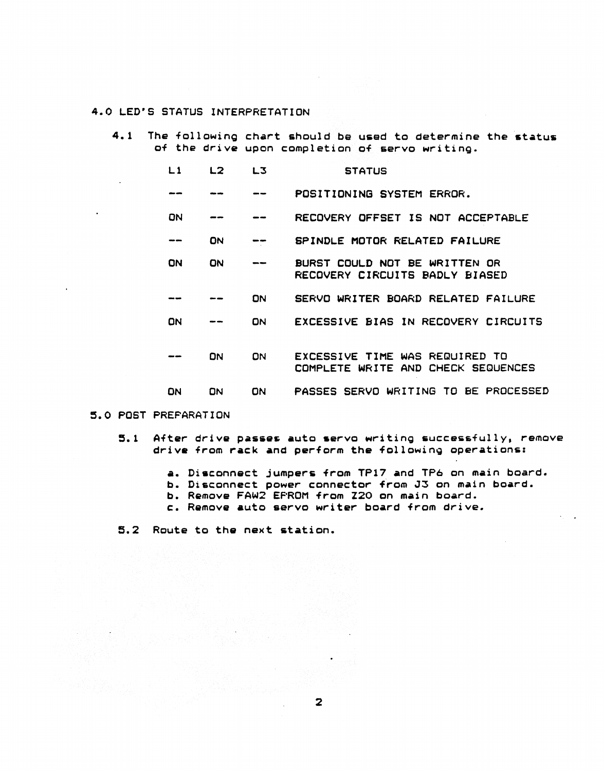## 4.0 LED"S STATUS INTERPRETATION

4.1 The following chart should be used to determine the status of the drive upon completion of servo writing.

| L 1 | L <sub>2</sub> | L3        | <b>STATUS</b>                                                        |
|-----|----------------|-----------|----------------------------------------------------------------------|
|     |                |           | POSITIONING SYSTEM ERROR.                                            |
| ON  |                |           | RECOVERY OFFSET IS NOT ACCEPTABLE                                    |
|     | ON             |           | SPINDLE MOTOR RELATED FAILURE                                        |
| ON  | ON             |           | BURST COULD NOT BE WRITTEN OR<br>RECOVERY CIRCUITS BADLY BIASED      |
|     |                | ON        | SERVO WRITER BOARD RELATED FAILURE                                   |
| ON  |                | ON        | EXCESSIVE BIAS IN RECOVERY CIRCUITS                                  |
|     | 0N             | <b>DN</b> | EXCESSIVE TIME WAS REQUIRED TO<br>COMPLETE WRITE AND CHECK SEQUENCES |
| DN  | ON             | ON        | PASSES SERVO WRITING TO BE PROCESSED                                 |

#### 5.0 POST PREPARATION

- 5.1 After drive passes auto servo writing successfully, remove drive from rack and perform the following operations:
	- a. Disconnect jumpers from TP17 and TP6 on main board.
	- b. Di6connect power connector from J3 on main board.
	- b. Remove FAW2 EPROM from Z20 on main board.
	- c. Remove auto servo writer board from drive.

2

5.2 Route to the next station.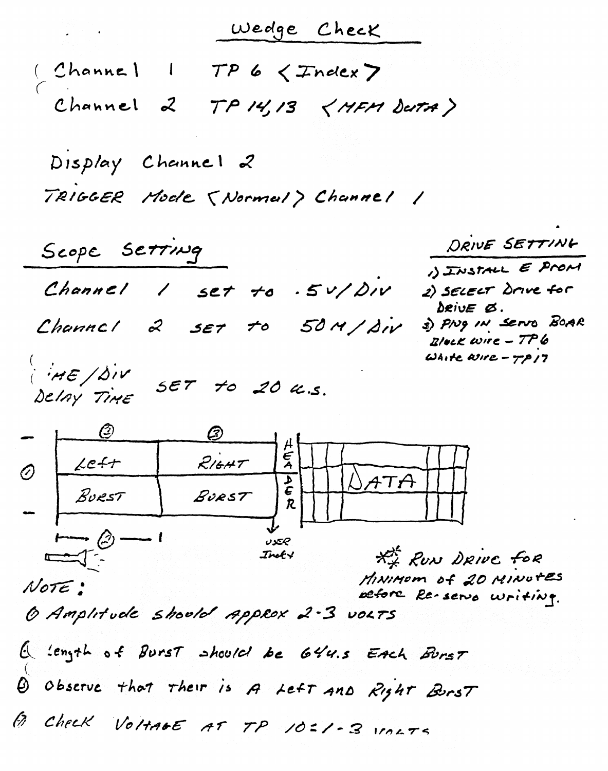|                                                                                                                                                                                                                                                       | Wedge Check                                    |                                                                           |
|-------------------------------------------------------------------------------------------------------------------------------------------------------------------------------------------------------------------------------------------------------|------------------------------------------------|---------------------------------------------------------------------------|
| (Channel 1                                                                                                                                                                                                                                            | $TP6 <$ $Tndex$                                |                                                                           |
| Channel 2                                                                                                                                                                                                                                             | TP14/13 < HP12                                 |                                                                           |
| Display Channel 2                                                                                                                                                                                                                                     |                                                |                                                                           |
|                                                                                                                                                                                                                                                       | TRIGGER Mode (Normal) Channel /                |                                                                           |
| Scope SETTING                                                                                                                                                                                                                                         |                                                | DRIVE SETTING                                                             |
|                                                                                                                                                                                                                                                       | Channel $1$ set to $5\nu/\Delta N$             | 1) INSTALL E PROM<br>2) SELECT Drive for<br>$\Delta$ RivE $\varnothing$ . |
|                                                                                                                                                                                                                                                       | Channel 2 set to 50M/div                       | 3) Prug IN SERRO BOAR<br>$E/$ ack wire $-776$                             |
| HE/DIV SET to 20 4.5.                                                                                                                                                                                                                                 |                                                | White asire $-77$ $/7$                                                    |
| $- \hspace{1.5cm} \xrightarrow{\hspace{1.5cm} (2) \hspace{1.5cm}} \hspace{1.5cm} (3) \hspace{1.5cm} \xrightarrow{\hspace{1.5cm} (3) \hspace{1.5cm}} \hspace{1.5cm} (4) \hspace{1.5cm} \xrightarrow{\hspace{1.5cm} (4) \hspace{1.5cm}} \hspace{1.5cm}$ |                                                |                                                                           |
| Let<br>$\oslash$                                                                                                                                                                                                                                      | R/6HT<br>$\frac{1}{2}$                         |                                                                           |
| BURST                                                                                                                                                                                                                                                 | BURST<br>R.                                    |                                                                           |
| $\longmapsto$ $\odot$                                                                                                                                                                                                                                 | جحوں<br>Inot+                                  | ** RUN DRIVE fOR                                                          |
| Note:                                                                                                                                                                                                                                                 |                                                | MINIMOM of 20 MINUTES<br>before Re-servo writing.                         |
|                                                                                                                                                                                                                                                       | 6 Amplitude shoold Approx 2-3 volts            |                                                                           |
|                                                                                                                                                                                                                                                       | Q 'ength of Burst should be 644.5 EAch Burst   |                                                                           |
|                                                                                                                                                                                                                                                       | Q Observe that their is A Left And Right Burst |                                                                           |
|                                                                                                                                                                                                                                                       | B CHECK VOLTAGE AT TP 10=1-3 VOLTE             |                                                                           |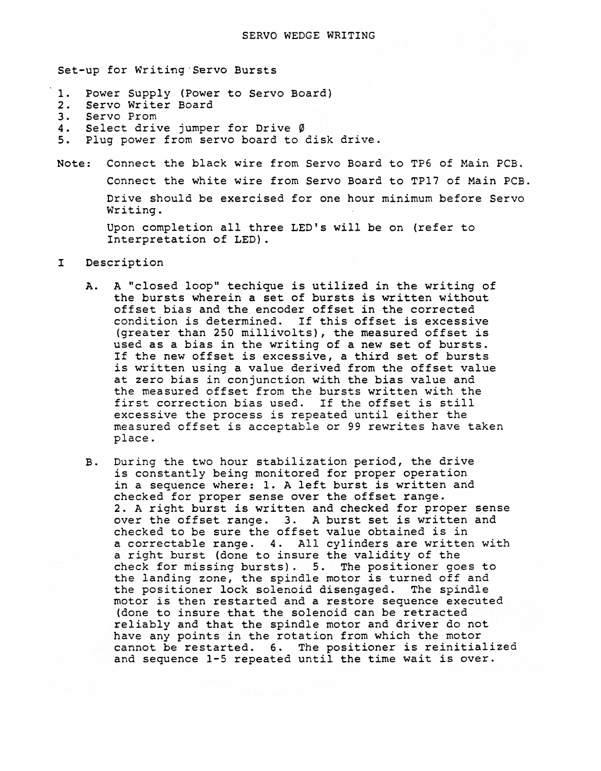Set-up for Writing "Servo Bursts

- 1. Power Supply (Power to Servo Board)<br>2. Servo Writer Board
- 2. Servo Writer Board<br>3. Servo Prom
- 3. Servo Prom<br>4. Select driv
- 4. Select drive jumper for Drive  $\emptyset$ <br>5. Plug power from servo board to
- Plug power from servo board to disk drive.
- Note: Connect the black wire from Servo Board to TP6 of Main PCB. Connect the white wire from Servo Board to TP17 of Main PCB. Drive should be exercised for one hour minimum before Servo Writing.

Upon completion all three LED's will be on (refer to Interpretation of LED).

#### I Description

- A. A "closed loop" techique is utilized in the writing of the bursts wherein a set of bursts is written without offset bias and the encoder offset in the corrected condition is determined. If this offset is excessive (greater than 250 millivolts), the measured offset is used as a bias in the writing of a new set of bursts. If the new offset is excessive, a third set of bursts is written using a value derived from the offset value at zero bias in conjunction with the bias value and the measured offset from the bursts written with the first correction bias used. If the offset is still excessive the process is repeated until either the measured offset is acceptable or 99 rewrites have taken place.
- B. During the two hour stabilization period, the drive is constantly being monitored for proper operation in a sequence where: 1. A left burst is written and checked for proper sense over the offset range. 2. A right burst is written and checked for proper sense over the offset range. 3. A burst set is written and checked to be sure the offset value obtained is in a correctable range. 4. All cylinders are written with a right burst (done to insure the validity of the check for missing bursts). 5. The positioner goes to the landing zone, the spindle motor is turned off and the positioner lock solenoid disengaged. The spindle motor is then restarted and a restore sequence executed (done to insure that the solenoid can be retracted reliably and that the spindle motor and driver do not have any points in the rotation from which the motor cannot be restarted. 6. The positioner is reinitialized and sequence 1-5 repeated until the time wait is over.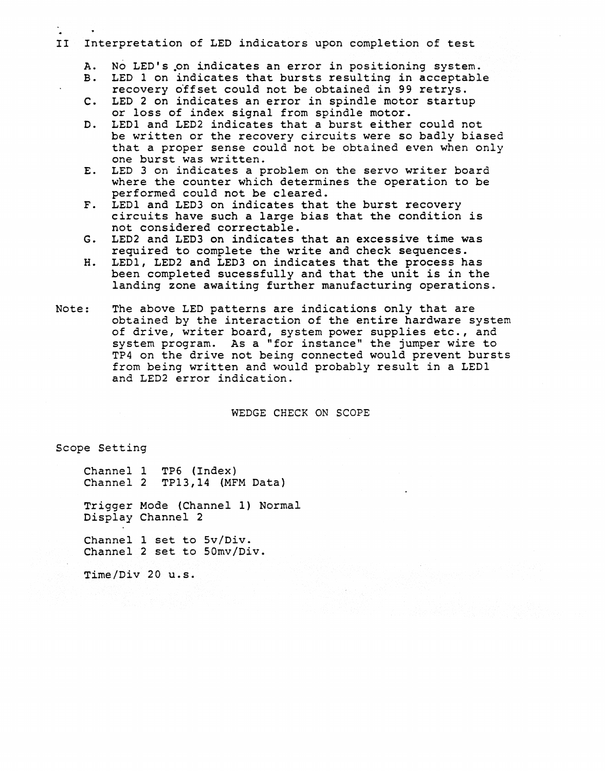## II Interpretation of LED indicators upon completion of test

- A. No LED's on indicates an error in positioning system.<br>B. LED 1 on indicates that bursts resulting in acceptabl
- LED 1 on indicates that bursts resulting in acceptable
- recovery offset could not be obtained in 99 retrys.
- C. LED 2 on indicates an error in spindle motor startup or loss of index signal from spindle motor.
- D. LEDI and LED2 indicates that a burst either could not be written or the recovery circuits were so badly biased that a proper sense could not be obtained even when only one burst was written.
- E. LED 3 on indicates a problem on the servo writer board where the counter which determines the operation to be performed could not be cleared.
- F. LED1 and LED3 on indicates that the burst recovery circuits have such a large bias that the condition is not considered correctable.
- G. LED2 and LED3 on indicates that an excessive time was required to complete the write and check sequences.
- H. LEDI, LED2 and LED3 on indicates that the process has been completed sucessfully and that the unit is in the landing zone awaiting further manufacturing operations.
- Note: The above LED patterns are indications only that are obtained by the interaction of the entire hardware system of drive, writer board, system power supplies etc., and system program. As a "for instance" the jumper wire to TP4 on the drive not being connected would prevent bursts from being written and would probably result in a LEDI and LED2 error indication.

WEDGE CHECK ON SCOPE

Scope Setting

Channel 1 TP6 (Index) Channel 2 TP13,14 (MFM Data)

Trigger Mode (Channel 1) Normal Display Channel 2

Channel 1 set to 5v/Div. Channel 2 set to 50mv/Div.

Time/Div 20 u.s.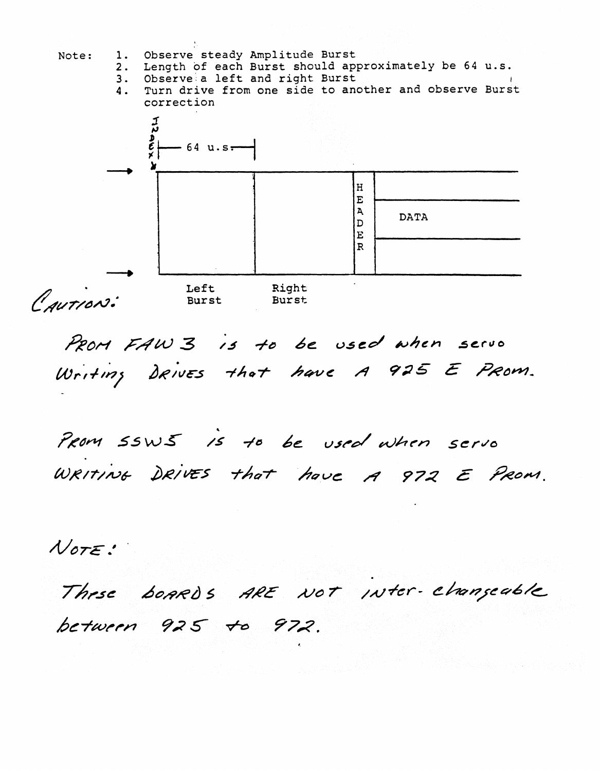

PROM FAW 3 is to be used when servo .<br>. . . *IAJrl+ll?)* 

 $\ddot{\phantom{0}}$ /5 -I" *6e* r.J.st'~ wht'n S~ *"''''0*  WRITING DRIVES that have A 972 E PROM.

*MOTE.'* 

Thrse boards ARE NOT Inter-changeable between 925 to 972.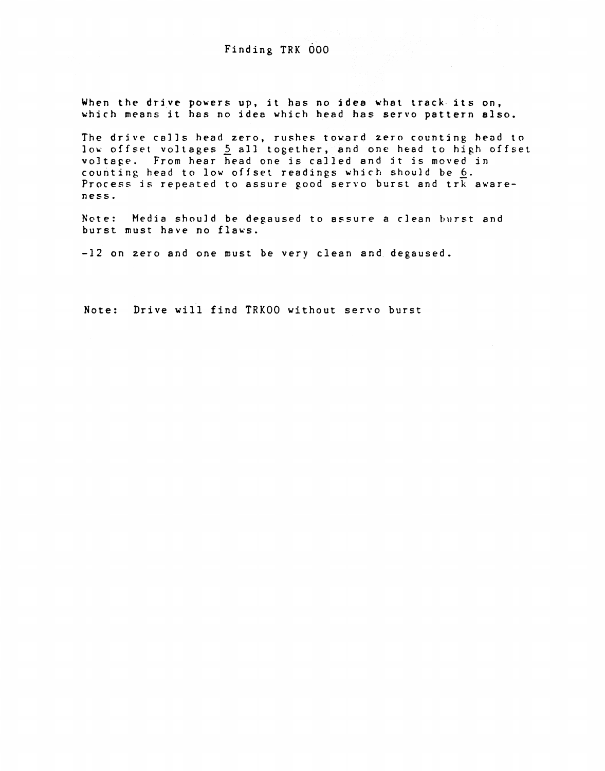# Finding TRK 000

When the drive powers up, it has no idea what track its on, which means it has no idea which head has servo pattern also.

The drive calls head zero, rushes toward zero counting head to low offset voltages 5 all together, and one head to high offset voltage. From hear head one is called and it is moved in counting head to low offset readings which should be 6. Process is repeated to assure good servo burst and  $trk$  awareness.

Note: Media should be degaused to assure a *clean* burst and burst must have no flaws.

-12 on zero and one must be very clean and degaused.

Note: Drive will find TRKOO without servo burst